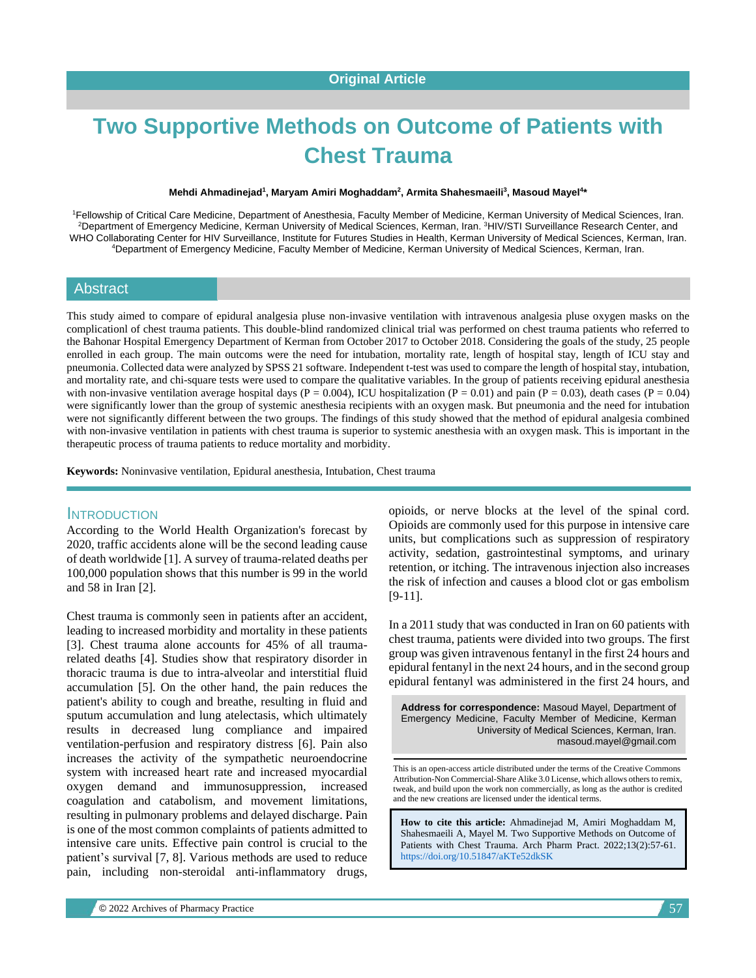# **Two Supportive Methods on Outcome of Patients with Chest Trauma**

#### **Mehdi Ahmadinejad<sup>1</sup> , Maryam Amiri Moghaddam<sup>2</sup> , Armita Shahesmaeili<sup>3</sup> , Masoud Mayel<sup>4</sup> \***

<sup>1</sup>Fellowship of Critical Care Medicine, Department of Anesthesia, Faculty Member of Medicine, Kerman University of Medical Sciences, Iran. <sup>2</sup>Department of Emergency Medicine, Kerman University of Medical Sciences, Kerman, Iran. <sup>3</sup>HIV/STI Surveillance Research Center, and WHO Collaborating Center for HIV Surveillance, Institute for Futures Studies in Health, Kerman University of Medical Sciences, Kerman, Iran. <sup>4</sup>Department of Emergency Medicine, Faculty Member of Medicine, Kerman University of Medical Sciences, Kerman, Iran.

#### Abstract

This study aimed to compare of epidural analgesia pluse non-invasive ventilation with intravenous analgesia pluse oxygen masks on the complicationl of chest trauma patients. This double-blind randomized clinical trial was performed on chest trauma patients who referred to the Bahonar Hospital Emergency Department of Kerman from October 2017 to October 2018. Considering the goals of the study, 25 people enrolled in each group. The main outcoms were the need for intubation, mortality rate, length of hospital stay, length of ICU stay and pneumonia. Collected data were analyzed by SPSS 21 software. Independent t-test was used to compare the length of hospital stay, intubation, and mortality rate, and chi-square tests were used to compare the qualitative variables. In the group of patients receiving epidural anesthesia with non-invasive ventilation average hospital days ( $P = 0.004$ ), ICU hospitalization ( $P = 0.01$ ) and pain ( $P = 0.03$ ), death cases ( $P = 0.04$ ) were significantly lower than the group of systemic anesthesia recipients with an oxygen mask. But pneumonia and the need for intubation were not significantly different between the two groups. The findings of this study showed that the method of epidural analgesia combined with non-invasive ventilation in patients with chest trauma is superior to systemic anesthesia with an oxygen mask. This is important in the therapeutic process of trauma patients to reduce mortality and morbidity.

**Keywords:** Noninvasive ventilation, Epidural anesthesia, Intubation, Chest trauma

#### **INTRODUCTION**

According to the World Health Organization's forecast by 2020, traffic accidents alone will be the second leading cause of death worldwide [1]. A survey of trauma-related deaths per 100,000 population shows that this number is 99 in the world and 58 in Iran [2].

Chest trauma is commonly seen in patients after an accident, leading to increased morbidity and mortality in these patients [3]. Chest trauma alone accounts for 45% of all traumarelated deaths [4]. Studies show that respiratory disorder in thoracic trauma is due to intra-alveolar and interstitial fluid accumulation [5]. On the other hand, the pain reduces the patient's ability to cough and breathe, resulting in fluid and sputum accumulation and lung atelectasis, which ultimately results in decreased lung compliance and impaired ventilation-perfusion and respiratory distress [6]. Pain also increases the activity of the sympathetic neuroendocrine system with increased heart rate and increased myocardial oxygen demand and immunosuppression, increased coagulation and catabolism, and movement limitations, resulting in pulmonary problems and delayed discharge. Pain is one of the most common complaints of patients admitted to intensive care units. Effective pain control is crucial to the patient's survival [7, 8]. Various methods are used to reduce pain, including non-steroidal anti-inflammatory drugs,

opioids, or nerve blocks at the level of the spinal cord. Opioids are commonly used for this purpose in intensive care units, but complications such as suppression of respiratory activity, sedation, gastrointestinal symptoms, and urinary retention, or itching. The intravenous injection also increases the risk of infection and causes a blood clot or gas embolism [9-11].

In a 2011 study that was conducted in Iran on 60 patients with chest trauma, patients were divided into two groups. The first group was given intravenous fentanyl in the first 24 hours and epidural fentanyl in the next 24 hours, and in the second group epidural fentanyl was administered in the first 24 hours, and

**Address for correspondence:** Masoud Mayel, Department of Emergency Medicine, Faculty Member of Medicine, Kerman University of Medical Sciences, Kerman, Iran. masoud.mayel@gmail.com

This is an open-access article distributed under the terms of the Creative Commons Attribution-Non Commercial-Share Alike 3.0 License, which allows others to remix, tweak, and build upon the work non commercially, as long as the author is credited and the new creations are licensed under the identical terms.

**How to cite this article:** Ahmadinejad M, Amiri Moghaddam M, Shahesmaeili A, Mayel M*.* Two Supportive Methods on Outcome of Patients with Chest Trauma. Arch Pharm Pract. 2022;13(2):57-61. <https://doi.org/10.51847/aKTe52dkSK>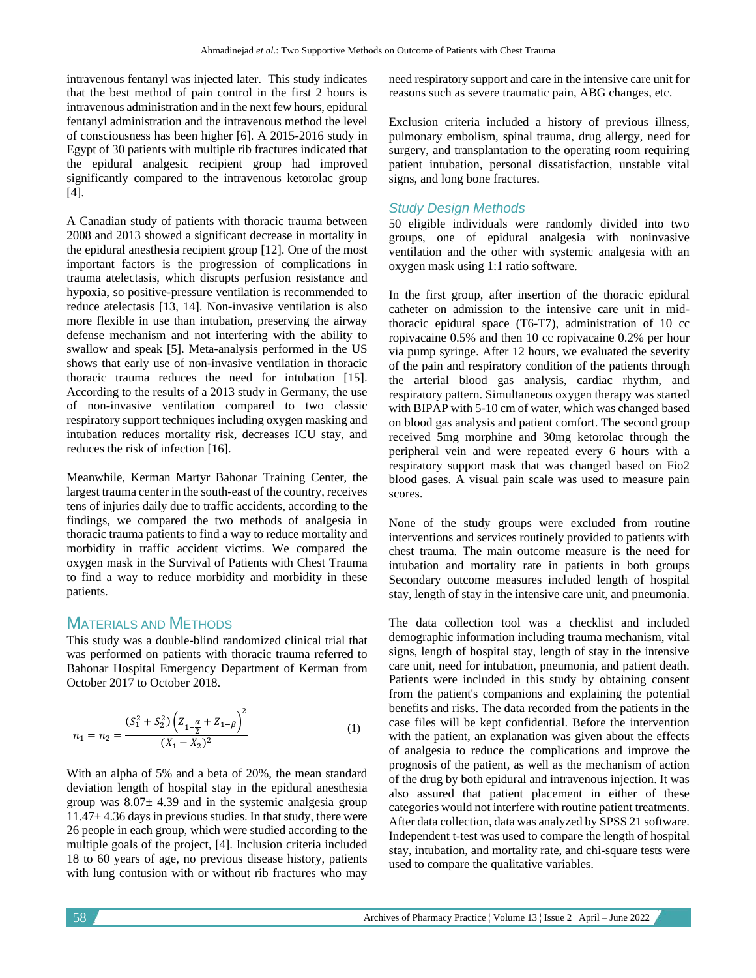intravenous fentanyl was injected later. This study indicates that the best method of pain control in the first 2 hours is intravenous administration and in the next few hours, epidural fentanyl administration and the intravenous method the level of consciousness has been higher [6]. A 2015-2016 study in Egypt of 30 patients with multiple rib fractures indicated that the epidural analgesic recipient group had improved significantly compared to the intravenous ketorolac group [4].

A Canadian study of patients with thoracic trauma between 2008 and 2013 showed a significant decrease in mortality in the epidural anesthesia recipient group [12]. One of the most important factors is the progression of complications in trauma atelectasis, which disrupts perfusion resistance and hypoxia, so positive-pressure ventilation is recommended to reduce atelectasis [13, 14]. Non-invasive ventilation is also more flexible in use than intubation, preserving the airway defense mechanism and not interfering with the ability to swallow and speak [5]. Meta-analysis performed in the US shows that early use of non-invasive ventilation in thoracic thoracic trauma reduces the need for intubation [15]. According to the results of a 2013 study in Germany, the use of non-invasive ventilation compared to two classic respiratory support techniques including oxygen masking and intubation reduces mortality risk, decreases ICU stay, and reduces the risk of infection [16].

Meanwhile, Kerman Martyr Bahonar Training Center, the largest trauma center in the south-east of the country, receives tens of injuries daily due to traffic accidents, according to the findings, we compared the two methods of analgesia in thoracic trauma patients to find a way to reduce mortality and morbidity in traffic accident victims. We compared the oxygen mask in the Survival of Patients with Chest Trauma to find a way to reduce morbidity and morbidity in these patients.

## MATERIALS AND METHODS

This study was a double-blind randomized clinical trial that was performed on patients with thoracic trauma referred to Bahonar Hospital Emergency Department of Kerman from October 2017 to October 2018.

$$
n_1 = n_2 = \frac{(S_1^2 + S_2^2) \left(Z_{1 - \frac{\alpha}{2}} + Z_{1 - \beta}\right)^2}{(\bar{X}_1 - \bar{X}_2)^2}
$$
(1)

With an alpha of 5% and a beta of 20%, the mean standard deviation length of hospital stay in the epidural anesthesia group was  $8.07 \pm 4.39$  and in the systemic analgesia group  $11.47\pm4.36$  days in previous studies. In that study, there were 26 people in each group, which were studied according to the multiple goals of the project, [4]. Inclusion criteria included 18 to 60 years of age, no previous disease history, patients with lung contusion with or without rib fractures who may

need respiratory support and care in the intensive care unit for reasons such as severe traumatic pain, ABG changes, etc.

Exclusion criteria included a history of previous illness, pulmonary embolism, spinal trauma, drug allergy, need for surgery, and transplantation to the operating room requiring patient intubation, personal dissatisfaction, unstable vital signs, and long bone fractures.

## *Study Design Methods*

50 eligible individuals were randomly divided into two groups, one of epidural analgesia with noninvasive ventilation and the other with systemic analgesia with an oxygen mask using 1:1 ratio software.

In the first group, after insertion of the thoracic epidural catheter on admission to the intensive care unit in midthoracic epidural space (T6-T7), administration of 10 cc ropivacaine 0.5% and then 10 cc ropivacaine 0.2% per hour via pump syringe. After 12 hours, we evaluated the severity of the pain and respiratory condition of the patients through the arterial blood gas analysis, cardiac rhythm, and respiratory pattern. Simultaneous oxygen therapy was started with BIPAP with 5-10 cm of water, which was changed based on blood gas analysis and patient comfort. The second group received 5mg morphine and 30mg ketorolac through the peripheral vein and were repeated every 6 hours with a respiratory support mask that was changed based on Fio2 blood gases. A visual pain scale was used to measure pain scores.

None of the study groups were excluded from routine interventions and services routinely provided to patients with chest trauma. The main outcome measure is the need for intubation and mortality rate in patients in both groups Secondary outcome measures included length of hospital stay, length of stay in the intensive care unit, and pneumonia.

The data collection tool was a checklist and included demographic information including trauma mechanism, vital signs, length of hospital stay, length of stay in the intensive care unit, need for intubation, pneumonia, and patient death. Patients were included in this study by obtaining consent from the patient's companions and explaining the potential benefits and risks. The data recorded from the patients in the case files will be kept confidential. Before the intervention with the patient, an explanation was given about the effects of analgesia to reduce the complications and improve the prognosis of the patient, as well as the mechanism of action of the drug by both epidural and intravenous injection. It was also assured that patient placement in either of these categories would not interfere with routine patient treatments. After data collection, data was analyzed by SPSS 21 software. Independent t-test was used to compare the length of hospital stay, intubation, and mortality rate, and chi-square tests were used to compare the qualitative variables.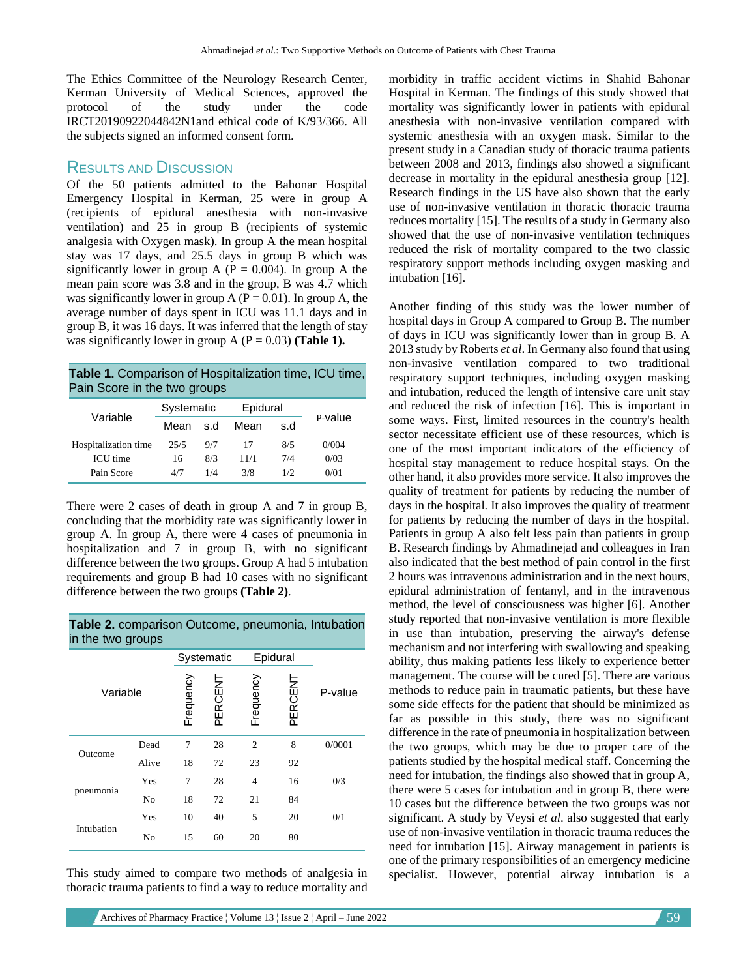The Ethics Committee of the Neurology Research Center, Kerman University of Medical Sciences, approved the protocol of the study under the code IRCT20190922044842N1and ethical code of K/93/366. All the subjects signed an informed consent form.

#### RESULTS AND DISCUSSION

Of the 50 patients admitted to the Bahonar Hospital Emergency Hospital in Kerman, 25 were in group A (recipients of epidural anesthesia with non-invasive ventilation) and 25 in group B (recipients of systemic analgesia with Oxygen mask). In group A the mean hospital stay was 17 days, and 25.5 days in group B which was significantly lower in group A ( $P = 0.004$ ). In group A the mean pain score was 3.8 and in the group, B was 4.7 which was significantly lower in group A ( $P = 0.01$ ). In group A, the average number of days spent in ICU was 11.1 days and in group B, it was 16 days. It was inferred that the length of stay was significantly lower in group A  $(P = 0.03)$  (**Table 1**).

**Table 1.** Comparison of Hospitalization time, ICU time, Pain Score in the two groups

| Variable             | Systematic |     | Epidural |     |         |
|----------------------|------------|-----|----------|-----|---------|
|                      | Mean       | s.d | Mean     | s.d | P-value |
| Hospitalization time | 25/5       | 9/7 | 17       | 8/5 | 0/004   |
| <b>ICU</b> time      | 16         | 8/3 | 11/1     | 7/4 | 0/03    |
| Pain Score           | 4/7        | 1/4 | 3/8      | 1/2 | 0/01    |

There were 2 cases of death in group A and 7 in group B, concluding that the morbidity rate was significantly lower in group A. In group A, there were 4 cases of pneumonia in hospitalization and 7 in group B, with no significant difference between the two groups. Group A had 5 intubation requirements and group B had 10 cases with no significant difference between the two groups **(Table 2)**.

#### **Table 2.** comparison Outcome, pneumonia, Intubation in the two groups

| Variable   |       |           | Systematic |           | Epidural |         |
|------------|-------|-----------|------------|-----------|----------|---------|
|            |       | Frequency | PERCENT    | Frequency | PERCENT  | P-value |
| Outcome    | Dead  | 7         | 28         | 2         | 8        | 0/0001  |
|            | Alive | 18        | 72         | 23        | 92       |         |
| pneumonia  | Yes   | 7         | 28         | 4         | 16       | 0/3     |
|            | No    | 18        | 72         | 21        | 84       |         |
| Intubation | Yes   | 10        | 40         | 5         | 20       | 0/1     |
|            | No    | 15        | 60         | 20        | 80       |         |

This study aimed to compare two methods of analgesia in thoracic trauma patients to find a way to reduce mortality and morbidity in traffic accident victims in Shahid Bahonar Hospital in Kerman. The findings of this study showed that mortality was significantly lower in patients with epidural anesthesia with non-invasive ventilation compared with systemic anesthesia with an oxygen mask. Similar to the present study in a Canadian study of thoracic trauma patients between 2008 and 2013, findings also showed a significant decrease in mortality in the epidural anesthesia group [12]. Research findings in the US have also shown that the early use of non-invasive ventilation in thoracic thoracic trauma reduces mortality [15]. The results of a study in Germany also showed that the use of non-invasive ventilation techniques reduced the risk of mortality compared to the two classic respiratory support methods including oxygen masking and intubation [16].

Another finding of this study was the lower number of hospital days in Group A compared to Group B. The number of days in ICU was significantly lower than in group B. A 2013 study by Roberts *et al*. In Germany also found that using non-invasive ventilation compared to two traditional respiratory support techniques, including oxygen masking and intubation, reduced the length of intensive care unit stay and reduced the risk of infection [16]. This is important in some ways. First, limited resources in the country's health sector necessitate efficient use of these resources, which is one of the most important indicators of the efficiency of hospital stay management to reduce hospital stays. On the other hand, it also provides more service. It also improves the quality of treatment for patients by reducing the number of days in the hospital. It also improves the quality of treatment for patients by reducing the number of days in the hospital. Patients in group A also felt less pain than patients in group B. Research findings by Ahmadinejad and colleagues in Iran also indicated that the best method of pain control in the first 2 hours was intravenous administration and in the next hours, epidural administration of fentanyl, and in the intravenous method, the level of consciousness was higher [6]. Another study reported that non-invasive ventilation is more flexible in use than intubation, preserving the airway's defense mechanism and not interfering with swallowing and speaking ability, thus making patients less likely to experience better management. The course will be cured [5]. There are various methods to reduce pain in traumatic patients, but these have some side effects for the patient that should be minimized as far as possible in this study, there was no significant difference in the rate of pneumonia in hospitalization between the two groups, which may be due to proper care of the patients studied by the hospital medical staff. Concerning the need for intubation, the findings also showed that in group A, there were 5 cases for intubation and in group B, there were 10 cases but the difference between the two groups was not significant. A study by Veysi *et al*. also suggested that early use of non-invasive ventilation in thoracic trauma reduces the need for intubation [15]. Airway management in patients is one of the primary responsibilities of an emergency medicine specialist. However, potential airway intubation is a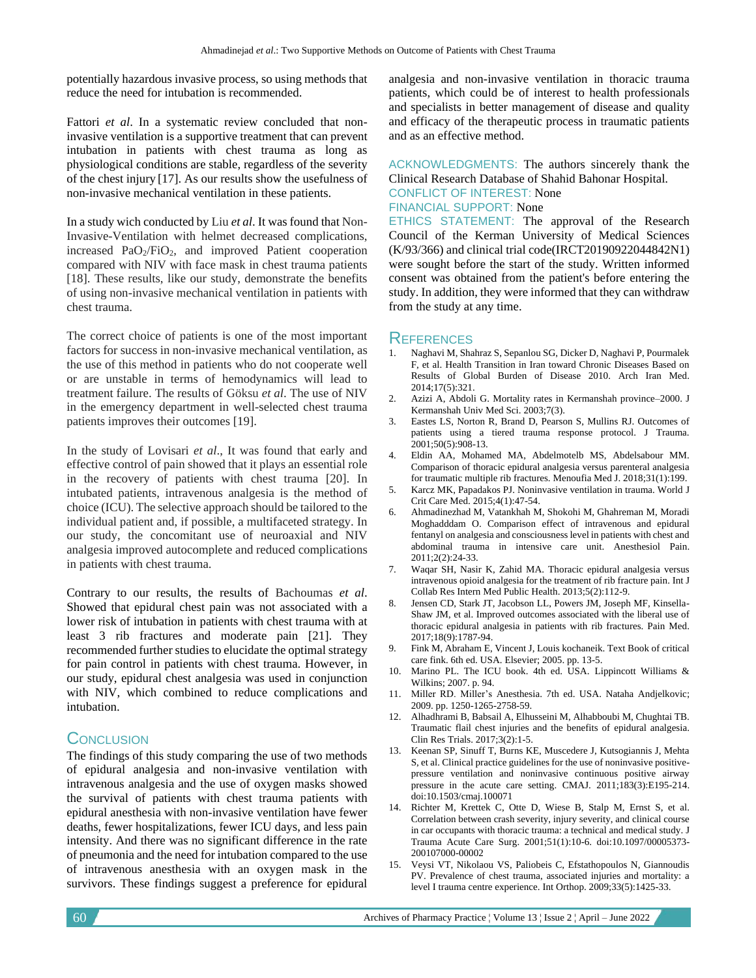potentially hazardous invasive process, so using methods that reduce the need for intubation is recommended.

Fattori *et al*. In a systematic review concluded that noninvasive ventilation is a supportive treatment that can prevent intubation in patients with chest trauma as long as physiological conditions are stable, regardless of the severity of the chest injury [17]. As our results show the usefulness of non-invasive mechanical ventilation in these patients.

In a study wich conducted by Liu *et al*. It was found that Non-Invasive-Ventilation with helmet decreased complications, increased  $PaO<sub>2</sub>/FiO<sub>2</sub>$ , and improved Patient cooperation compared with NIV with face mask in chest trauma patients [18]. These results, like our study, demonstrate the benefits of using non-invasive mechanical ventilation in patients with chest trauma.

The correct choice of patients is one of the most important factors for success in non-invasive mechanical ventilation, as the use of this method in patients who do not cooperate well or are unstable in terms of hemodynamics will lead to treatment failure. The results of Göksu *et al*. The use of NIV in the emergency department in well-selected chest trauma patients improves their outcomes [19].

In the study of Lovisari *et al*., It was found that early and effective control of pain showed that it plays an essential role in the recovery of patients with chest trauma [20]. In intubated patients, intravenous analgesia is the method of choice (ICU). The selective approach should be tailored to the individual patient and, if possible, a multifaceted strategy. In our study, the concomitant use of neuroaxial and NIV analgesia improved autocomplete and reduced complications in patients with chest trauma.

Contrary to our results, the results of Bachoumas *et al*. Showed that epidural chest pain was not associated with a lower risk of intubation in patients with chest trauma with at least 3 rib fractures and moderate pain [21]. They recommended further studies to elucidate the optimal strategy for pain control in patients with chest trauma. However, in our study, epidural chest analgesia was used in conjunction with NIV, which combined to reduce complications and intubation.

## **CONCLUSION**

The findings of this study comparing the use of two methods of epidural analgesia and non-invasive ventilation with intravenous analgesia and the use of oxygen masks showed the survival of patients with chest trauma patients with epidural anesthesia with non-invasive ventilation have fewer deaths, fewer hospitalizations, fewer ICU days, and less pain intensity. And there was no significant difference in the rate of pneumonia and the need for intubation compared to the use of intravenous anesthesia with an oxygen mask in the survivors. These findings suggest a preference for epidural

analgesia and non-invasive ventilation in thoracic trauma patients, which could be of interest to health professionals and specialists in better management of disease and quality and efficacy of the therapeutic process in traumatic patients and as an effective method.

ACKNOWLEDGMENTS: The authors sincerely thank the Clinical Research Database of Shahid Bahonar Hospital.

## CONFLICT OF INTEREST: None

### FINANCIAL SUPPORT: None

ETHICS STATEMENT: The approval of the Research Council of the Kerman University of Medical Sciences (K/93/366) and clinical trial code(IRCT20190922044842N1) were sought before the start of the study. Written informed consent was obtained from the patient's before entering the study. In addition, they were informed that they can withdraw from the study at any time.

### **REFERENCES**

- 1. Naghavi M, Shahraz S, Sepanlou SG, Dicker D, Naghavi P, Pourmalek F, et al. Health Transition in Iran toward Chronic Diseases Based on Results of Global Burden of Disease 2010. Arch Iran Med. 2014;17(5):321.
- 2. Azizi A, Abdoli G. Mortality rates in Kermanshah province–2000. J Kermanshah Univ Med Sci. 2003;7(3).
- 3. Eastes LS, Norton R, Brand D, Pearson S, Mullins RJ. Outcomes of patients using a tiered trauma response protocol. J Trauma. 2001;50(5):908-13.
- 4. Eldin AA, Mohamed MA, Abdelmotelb MS, Abdelsabour MM. Comparison of thoracic epidural analgesia versus parenteral analgesia for traumatic multiple rib fractures. Menoufia Med J. 2018;31(1):199.
- 5. Karcz MK, Papadakos PJ. Noninvasive ventilation in trauma. World J Crit Care Med. 2015;4(1):47-54.
- 6. Ahmadinezhad M, Vatankhah M, Shokohi M, Ghahreman M, Moradi Moghadddam O. Comparison effect of intravenous and epidural fentanyl on analgesia and consciousness level in patients with chest and abdominal trauma in intensive care unit. Anesthesiol Pain. 2011;2(2):24-33.
- 7. Waqar SH, Nasir K, Zahid MA. Thoracic epidural analgesia versus intravenous opioid analgesia for the treatment of rib fracture pain. Int J Collab Res Intern Med Public Health. 2013;5(2):112-9.
- 8. Jensen CD, Stark JT, Jacobson LL, Powers JM, Joseph MF, Kinsella-Shaw JM, et al. Improved outcomes associated with the liberal use of thoracic epidural analgesia in patients with rib fractures. Pain Med. 2017;18(9):1787-94.
- 9. Fink M, Abraham E, Vincent J, Louis kochaneik. Text Book of critical care fink. 6th ed. USA. Elsevier; 2005. pp. 13-5.
- 10. Marino PL. The ICU book. 4th ed. USA. Lippincott Williams & Wilkins; 2007. p. 94.
- 11. Miller RD. Miller's Anesthesia. 7th ed. USA. Nataha Andjelkovic; 2009. pp. 1250-1265-2758-59.
- 12. Alhadhrami B, Babsail A, Elhusseini M, Alhabboubi M, Chughtai TB. Traumatic flail chest injuries and the benefits of epidural analgesia. Clin Res Trials. 2017;3(2):1-5.
- 13. Keenan SP, Sinuff T, Burns KE, Muscedere J, Kutsogiannis J, Mehta S, et al. Clinical practice guidelines for the use of noninvasive positivepressure ventilation and noninvasive continuous positive airway pressure in the acute care setting. CMAJ. 2011;183(3):E195-214. doi:10.1503/cmaj.100071
- 14. Richter M, Krettek C, Otte D, Wiese B, Stalp M, Ernst S, et al. Correlation between crash severity, injury severity, and clinical course in car occupants with thoracic trauma: a technical and medical study. J Trauma Acute Care Surg. 2001;51(1):10-6. doi:10.1097/00005373- 200107000-00002
- 15. Veysi VT, Nikolaou VS, Paliobeis C, Efstathopoulos N, Giannoudis PV. Prevalence of chest trauma, associated injuries and mortality: a level I trauma centre experience. Int Orthop. 2009;33(5):1425-33.